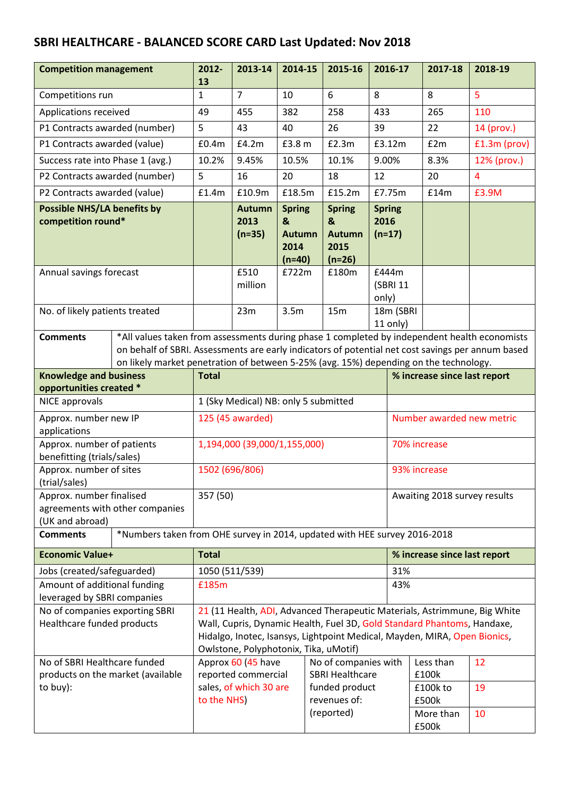## **SBRI HEALTHCARE - BALANCED SCORE CARD Last Updated: Nov 2018**

| <b>Competition management</b>                                                                |  | 2012-<br>13                                                                                                                                                                                                                                                                                | 2013-14                           | 2014-15                                                 | 2015-16                                                 | 2016-17                           |                              | 2017-18            | 2018-19        |
|----------------------------------------------------------------------------------------------|--|--------------------------------------------------------------------------------------------------------------------------------------------------------------------------------------------------------------------------------------------------------------------------------------------|-----------------------------------|---------------------------------------------------------|---------------------------------------------------------|-----------------------------------|------------------------------|--------------------|----------------|
| Competitions run                                                                             |  | $\mathbf{1}$                                                                                                                                                                                                                                                                               | $\overline{7}$                    | 10                                                      | 6                                                       | 8                                 |                              | 8                  | 5              |
| Applications received                                                                        |  | 49                                                                                                                                                                                                                                                                                         | 455                               | 382                                                     | 258                                                     | 433                               |                              | 265                | 110            |
| P1 Contracts awarded (number)                                                                |  | 5                                                                                                                                                                                                                                                                                          | 43                                | 40                                                      | 26                                                      | 39                                |                              | 22                 | 14 (prov.)     |
| P1 Contracts awarded (value)                                                                 |  | £0.4m                                                                                                                                                                                                                                                                                      | £4.2m                             | £3.8 m                                                  | E2.3m                                                   | £3.12m                            |                              | £2m                | £1.3m (prov)   |
| Success rate into Phase 1 (avg.)                                                             |  | 10.2%                                                                                                                                                                                                                                                                                      | 9.45%                             | 10.5%                                                   | 10.1%                                                   | 9.00%                             |                              | 8.3%               | 12% (prov.)    |
| P2 Contracts awarded (number)                                                                |  | 5                                                                                                                                                                                                                                                                                          | 16                                | 20                                                      | 18                                                      | 12                                |                              | 20                 | $\overline{4}$ |
| P2 Contracts awarded (value)                                                                 |  | £1.4m                                                                                                                                                                                                                                                                                      | £10.9m                            | £18.5m                                                  | £15.2m                                                  | £7.75m                            |                              | £14m               | £3.9M          |
| <b>Possible NHS/LA benefits by</b><br>competition round*                                     |  |                                                                                                                                                                                                                                                                                            | <b>Autumn</b><br>2013<br>$(n=35)$ | <b>Spring</b><br>&<br><b>Autumn</b><br>2014<br>$(n=40)$ | <b>Spring</b><br>&<br><b>Autumn</b><br>2015<br>$(n=26)$ | <b>Spring</b><br>2016<br>$(n=17)$ |                              |                    |                |
| Annual savings forecast                                                                      |  |                                                                                                                                                                                                                                                                                            | £510<br>million                   | £722m                                                   | £180m                                                   | £444m<br>(SBRI 11<br>only)        |                              |                    |                |
| No. of likely patients treated                                                               |  |                                                                                                                                                                                                                                                                                            | 23m                               | 3.5m                                                    | 15m                                                     | 18m (SBRI<br>11 only)             |                              |                    |                |
| <b>Comments</b>                                                                              |  | *All values taken from assessments during phase 1 completed by independent health economists<br>on behalf of SBRI. Assessments are early indicators of potential net cost savings per annum based<br>on likely market penetration of between 5-25% (avg. 15%) depending on the technology. |                                   |                                                         |                                                         |                                   |                              |                    |                |
| <b>Knowledge and business</b>                                                                |  | <b>Total</b>                                                                                                                                                                                                                                                                               |                                   |                                                         |                                                         |                                   | % increase since last report |                    |                |
| opportunities created *                                                                      |  |                                                                                                                                                                                                                                                                                            |                                   |                                                         |                                                         |                                   |                              |                    |                |
| NICE approvals                                                                               |  | 1 (Sky Medical) NB: only 5 submitted                                                                                                                                                                                                                                                       |                                   |                                                         |                                                         |                                   |                              |                    |                |
| Approx. number new IP<br>applications                                                        |  | 125 (45 awarded)                                                                                                                                                                                                                                                                           |                                   |                                                         |                                                         |                                   | Number awarded new metric    |                    |                |
| Approx. number of patients<br>benefitting (trials/sales)                                     |  | 1,194,000 (39,000/1,155,000)                                                                                                                                                                                                                                                               |                                   |                                                         |                                                         |                                   | 70% increase                 |                    |                |
| Approx. number of sites<br>(trial/sales)                                                     |  | 1502 (696/806)                                                                                                                                                                                                                                                                             |                                   |                                                         |                                                         |                                   | 93% increase                 |                    |                |
| Approx. number finalised<br>agreements with other companies<br>(UK and abroad)               |  | 357 (50)                                                                                                                                                                                                                                                                                   |                                   |                                                         |                                                         |                                   | Awaiting 2018 survey results |                    |                |
| *Numbers taken from OHE survey in 2014, updated with HEE survey 2016-2018<br><b>Comments</b> |  |                                                                                                                                                                                                                                                                                            |                                   |                                                         |                                                         |                                   |                              |                    |                |
| <b>Economic Value+</b>                                                                       |  | <b>Total</b>                                                                                                                                                                                                                                                                               |                                   |                                                         |                                                         |                                   | % increase since last report |                    |                |
| Jobs (created/safeguarded)                                                                   |  | 1050 (511/539)                                                                                                                                                                                                                                                                             |                                   |                                                         |                                                         |                                   | 31%                          |                    |                |
| Amount of additional funding<br>leveraged by SBRI companies                                  |  | £185m<br>43%                                                                                                                                                                                                                                                                               |                                   |                                                         |                                                         |                                   |                              |                    |                |
| No of companies exporting SBRI<br>Healthcare funded products                                 |  | 21 (11 Health, ADI, Advanced Therapeutic Materials, Astrimmune, Big White<br>Wall, Cupris, Dynamic Health, Fuel 3D, Gold Standard Phantoms, Handaxe,<br>Hidalgo, Inotec, Isansys, Lightpoint Medical, Mayden, MIRA, Open Bionics,<br>Owlstone, Polyphotonix, Tika, uMotif)                 |                                   |                                                         |                                                         |                                   |                              |                    |                |
| No of SBRI Healthcare funded<br>products on the market (available                            |  | Approx 60 (45 have<br>No of companies with<br>reported commercial<br><b>SBRI Healthcare</b>                                                                                                                                                                                                |                                   |                                                         |                                                         |                                   |                              | Less than<br>£100k | 12             |
| to buy):                                                                                     |  | sales, of which 30 are<br>funded product<br>revenues of:<br>to the NHS)                                                                                                                                                                                                                    |                                   |                                                         |                                                         |                                   | £100k to<br>£500k            | 19                 |                |
|                                                                                              |  |                                                                                                                                                                                                                                                                                            |                                   |                                                         | (reported)                                              |                                   |                              | More than<br>£500k | 10             |